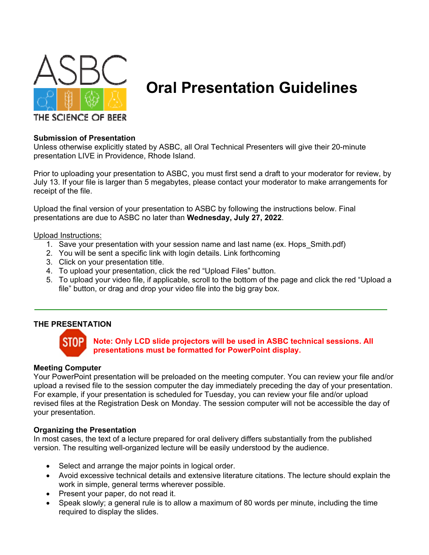

# **Oral Presentation Guidelines**

## **Submission of Presentation**

Unless otherwise explicitly stated by ASBC, all Oral Technical Presenters will give their 20-minute presentation LIVE in Providence, Rhode Island.

Prior to uploading your presentation to ASBC, you must first send a draft to your moderator for review, by July 13. If your file is larger than 5 megabytes, please contact your moderator to make arrangements for receipt of the file.

Upload the final version of your presentation to ASBC by following the instructions below. Final presentations are due to ASBC no later than **Wednesday, July 27, 2022**.

Upload Instructions:

- 1. Save your presentation with your session name and last name (ex. Hops\_Smith.pdf)
- 2. You will be sent a specific link with login details. Link forthcoming
- 3. Click on your presentation title.
- 4. To upload your presentation, click the red "Upload Files" button.
- 5. To upload your video file, if applicable, scroll to the bottom of the page and click the red "Upload a file" button, or drag and drop your video file into the big gray box.

## **THE PRESENTATION**



## **Note: Only LCD slide projectors will be used in ASBC technical sessions. All presentations must be formatted for PowerPoint display.**

#### **Meeting Computer**

Your PowerPoint presentation will be preloaded on the meeting computer. You can review your file and/or upload a revised file to the session computer the day immediately preceding the day of your presentation. For example, if your presentation is scheduled for Tuesday, you can review your file and/or upload revised files at the Registration Desk on Monday. The session computer will not be accessible the day of your presentation.

#### **Organizing the Presentation**

In most cases, the text of a lecture prepared for oral delivery differs substantially from the published version. The resulting well-organized lecture will be easily understood by the audience.

- Select and arrange the major points in logical order.
- Avoid excessive technical details and extensive literature citations. The lecture should explain the work in simple, general terms wherever possible.
- Present your paper, do not read it.
- Speak slowly; a general rule is to allow a maximum of 80 words per minute, including the time required to display the slides.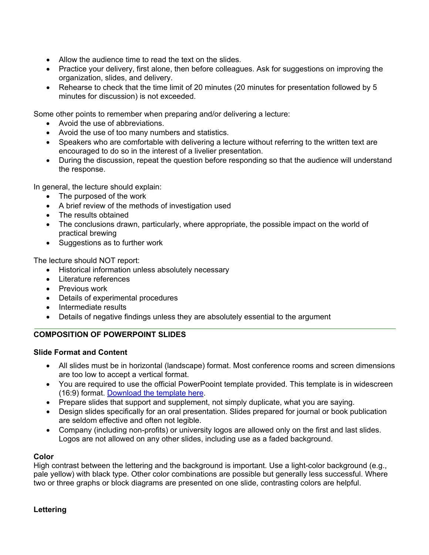- Allow the audience time to read the text on the slides.
- Practice your delivery, first alone, then before colleagues. Ask for suggestions on improving the organization, slides, and delivery.
- Rehearse to check that the time limit of 20 minutes (20 minutes for presentation followed by 5 minutes for discussion) is not exceeded.

Some other points to remember when preparing and/or delivering a lecture:

- Avoid the use of abbreviations.
- Avoid the use of too many numbers and statistics.
- Speakers who are comfortable with delivering a lecture without referring to the written text are encouraged to do so in the interest of a livelier presentation.
- During the discussion, repeat the question before responding so that the audience will understand the response.

In general, the lecture should explain:

- The purposed of the work
- A brief review of the methods of investigation used
- The results obtained
- The conclusions drawn, particularly, where appropriate, the possible impact on the world of practical brewing
- Suggestions as to further work

The lecture should NOT report:

- Historical information unless absolutely necessary
- Literature references
- Previous work
- Details of experimental procedures
- Intermediate results
- Details of negative findings unless they are absolutely essential to the argument

# **COMPOSITION OF POWERPOINT SLIDES**

## **Slide Format and Content**

- All slides must be in horizontal (landscape) format. Most conference rooms and screen dimensions are too low to accept a vertical format.
- You are required to use the official PowerPooint template provided. This template is in widescreen (16:9) format. Download the template here.
- Prepare slides that support and supplement, not simply duplicate, what you are saying.
- Design slides specifically for an oral presentation. Slides prepared for journal or book publication are seldom effective and often not legible.
- Company (including non-profits) or university logos are allowed only on the first and last slides. Logos are not allowed on any other slides, including use as a faded background.

# **Color**

High contrast between the lettering and the background is important. Use a light-color background (e.g., pale yellow) with black type. Other color combinations are possible but generally less successful. Where two or three graphs or block diagrams are presented on one slide, contrasting colors are helpful.

## **Lettering**